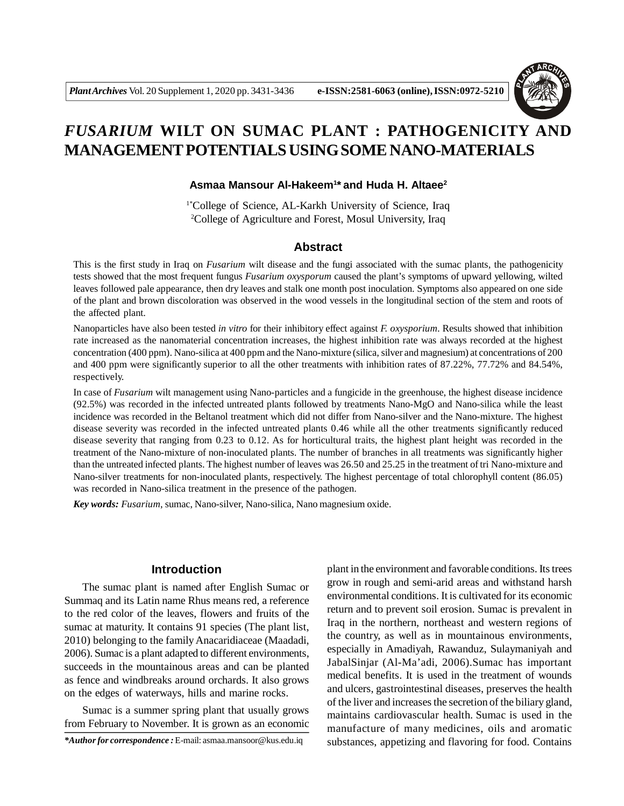

# *FUSARIUM* **WILT ON SUMAC PLANT : PATHOGENICITY AND MANAGEMENT POTENTIALS USING SOME NANO-MATERIALS**

### **Asmaa Mansour Al-Hakeem<sup>1</sup> \* and Huda H. Altaee<sup>2</sup>**

1\*College of Science, AL-Karkh University of Science, Iraq <sup>2</sup>College of Agriculture and Forest, Mosul University, Iraq

# **Abstract**

This is the first study in Iraq on *Fusarium* wilt disease and the fungi associated with the sumac plants, the pathogenicity tests showed that the most frequent fungus *Fusarium oxysporum* caused the plant's symptoms of upward yellowing, wilted leaves followed pale appearance, then dry leaves and stalk one month post inoculation. Symptoms also appeared on one side of the plant and brown discoloration was observed in the wood vessels in the longitudinal section of the stem and roots of the affected plant.

Nanoparticles have also been tested *in vitro* for their inhibitory effect against *F. oxysporium*. Results showed that inhibition rate increased as the nanomaterial concentration increases, the highest inhibition rate was always recorded at the highest concentration (400 ppm). Nano-silica at 400 ppm and the Nano-mixture (silica, silver and magnesium) at concentrations of 200 and 400 ppm were significantly superior to all the other treatments with inhibition rates of 87.22%, 77.72% and 84.54%, respectively.

In case of *Fusarium* wilt management using Nano-particles and a fungicide in the greenhouse, the highest disease incidence (92.5%) was recorded in the infected untreated plants followed by treatments Nano-MgO and Nano-silica while the least incidence was recorded in the Beltanol treatment which did not differ from Nano-silver and the Nano-mixture. The highest disease severity was recorded in the infected untreated plants 0.46 while all the other treatments significantly reduced disease severity that ranging from 0.23 to 0.12. As for horticultural traits, the highest plant height was recorded in the treatment of the Nano-mixture of non-inoculated plants. The number of branches in all treatments was significantly higher than the untreated infected plants. The highest number of leaves was 26.50 and 25.25 in the treatment of tri Nano-mixture and Nano-silver treatments for non-inoculated plants, respectively. The highest percentage of total chlorophyll content (86.05) was recorded in Nano-silica treatment in the presence of the pathogen.

*Key words: Fusarium*, sumac, Nano-silver, Nano-silica, Nano magnesium oxide.

# **Introduction**

The sumac plant is named after English Sumac or Summaq and its Latin name Rhus means red, a reference to the red color of the leaves, flowers and fruits of the sumac at maturity. It contains 91 species (The plant list, 2010) belonging to the family Anacaridiaceae (Maadadi, 2006). Sumac is a plant adapted to different environments, succeeds in the mountainous areas and can be planted as fence and windbreaks around orchards. It also grows on the edges of waterways, hills and marine rocks.

Sumac is a summer spring plant that usually grows from February to November. It is grown as an economic

*\*Author for correspondence :* E-mail: asmaa.mansoor@kus.edu.iq

plant in the environment and favorable conditions. Its trees grow in rough and semi-arid areas and withstand harsh environmental conditions. It is cultivated for its economic return and to prevent soil erosion. Sumac is prevalent in Iraq in the northern, northeast and western regions of the country, as well as in mountainous environments, especially in Amadiyah, Rawanduz, Sulaymaniyah and JabalSinjar (Al-Ma'adi, 2006).Sumac has important medical benefits. It is used in the treatment of wounds and ulcers, gastrointestinal diseases, preserves the health of the liver and increases the secretion of the biliary gland, maintains cardiovascular health. Sumac is used in the manufacture of many medicines, oils and aromatic substances, appetizing and flavoring for food. Contains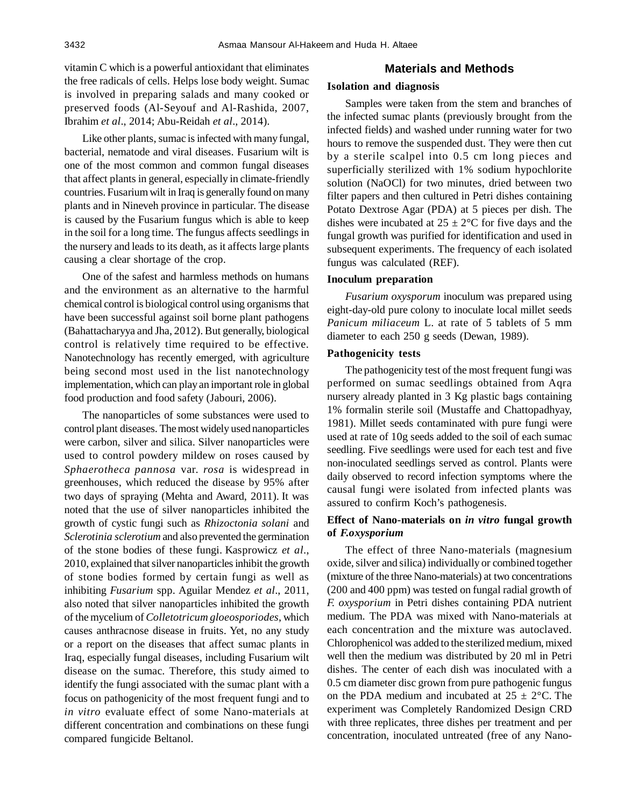vitamin C which is a powerful antioxidant that eliminates the free radicals of cells. Helps lose body weight. Sumac is involved in preparing salads and many cooked or preserved foods (Al-Seyouf and Al-Rashida, 2007, Ibrahim *et al*., 2014; Abu-Reidah *et al*., 2014).

Like other plants, sumac is infected with many fungal, bacterial, nematode and viral diseases. Fusarium wilt is one of the most common and common fungal diseases that affect plants in general, especially in climate-friendly countries. Fusarium wilt in Iraq is generally found on many plants and in Nineveh province in particular. The disease is caused by the Fusarium fungus which is able to keep in the soil for a long time. The fungus affects seedlings in the nursery and leads to its death, as it affects large plants causing a clear shortage of the crop.

One of the safest and harmless methods on humans and the environment as an alternative to the harmful chemical control is biological control using organisms that have been successful against soil borne plant pathogens (Bahattacharyya and Jha, 2012). But generally, biological control is relatively time required to be effective. Nanotechnology has recently emerged, with agriculture being second most used in the list nanotechnology implementation, which can play an important role in global food production and food safety (Jabouri, 2006).

The nanoparticles of some substances were used to control plant diseases. The most widely used nanoparticles were carbon, silver and silica. Silver nanoparticles were used to control powdery mildew on roses caused by *Sphaerotheca pannosa* var. *rosa* is widespread in greenhouses, which reduced the disease by 95% after two days of spraying (Mehta and Award, 2011). It was noted that the use of silver nanoparticles inhibited the growth of cystic fungi such as *Rhizoctonia solani* and *Sclerotinia sclerotium* and also prevented the germination of the stone bodies of these fungi. Kasprowicz *et al*., 2010, explained that silver nanoparticles inhibit the growth of stone bodies formed by certain fungi as well as inhibiting *Fusarium* spp. Aguilar Mendez *et al*., 2011, also noted that silver nanoparticles inhibited the growth of the mycelium of *Colletotricum gloeosporiodes*, which causes anthracnose disease in fruits. Yet, no any study or a report on the diseases that affect sumac plants in Iraq, especially fungal diseases, including Fusarium wilt disease on the sumac. Therefore, this study aimed to identify the fungi associated with the sumac plant with a focus on pathogenicity of the most frequent fungi and to *in vitro* evaluate effect of some Nano-materials at different concentration and combinations on these fungi compared fungicide Beltanol.

# **Materials and Methods**

### **Isolation and diagnosis**

Samples were taken from the stem and branches of the infected sumac plants (previously brought from the infected fields) and washed under running water for two hours to remove the suspended dust. They were then cut by a sterile scalpel into 0.5 cm long pieces and superficially sterilized with 1% sodium hypochlorite solution (NaOCl) for two minutes, dried between two filter papers and then cultured in Petri dishes containing Potato Dextrose Agar (PDA) at 5 pieces per dish. The dishes were incubated at  $25 \pm 2$ °C for five days and the fungal growth was purified for identification and used in subsequent experiments. The frequency of each isolated fungus was calculated (REF).

#### **Inoculum preparation**

*Fusarium oxysporum* inoculum was prepared using eight-day-old pure colony to inoculate local millet seeds *Panicum miliaceum* L. at rate of 5 tablets of 5 mm diameter to each 250 g seeds (Dewan, 1989).

#### **Pathogenicity tests**

The pathogenicity test of the most frequent fungi was performed on sumac seedlings obtained from Aqra nursery already planted in 3 Kg plastic bags containing 1% formalin sterile soil (Mustaffe and Chattopadhyay, 1981). Millet seeds contaminated with pure fungi were used at rate of 10g seeds added to the soil of each sumac seedling. Five seedlings were used for each test and five non-inoculated seedlings served as control. Plants were daily observed to record infection symptoms where the causal fungi were isolated from infected plants was assured to confirm Koch's pathogenesis.

## **Effect of Nano-materials on** *in vitro* **fungal growth of** *F.oxysporium*

The effect of three Nano-materials (magnesium oxide, silver and silica) individually or combined together (mixture of the three Nano-materials) at two concentrations (200 and 400 ppm) was tested on fungal radial growth of *F. oxysporium* in Petri dishes containing PDA nutrient medium. The PDA was mixed with Nano-materials at each concentration and the mixture was autoclaved. Chlorophenicol was added to the sterilized medium, mixed well then the medium was distributed by 20 ml in Petri dishes. The center of each dish was inoculated with a 0.5 cm diameter disc grown from pure pathogenic fungus on the PDA medium and incubated at  $25 \pm 2$ °C. The experiment was Completely Randomized Design CRD with three replicates, three dishes per treatment and per concentration, inoculated untreated (free of any Nano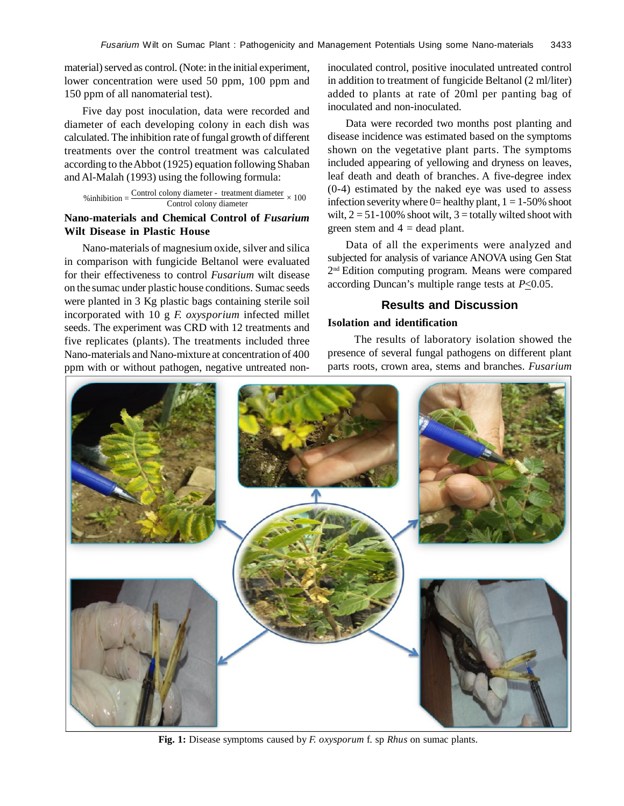material) served as control. (Note: in the initial experiment, lower concentration were used 50 ppm, 100 ppm and 150 ppm of all nanomaterial test).

Five day post inoculation, data were recorded and diameter of each developing colony in each dish was calculated. The inhibition rate of fungal growth of different treatments over the control treatment was calculated according to the Abbot (1925) equation following Shaban and Al-Malah (1993) using the following formula:

$$
\% inhibition = \frac{Control\ colony\ diameter - treatment\ diameter}{Control\ colony\ diameter} \times 100
$$

# **Nano-materials and Chemical Control of** *Fusarium* **Wilt Disease in Plastic House**

Nano-materials of magnesium oxide, silver and silica in comparison with fungicide Beltanol were evaluated for their effectiveness to control *Fusarium* wilt disease on the sumac under plastic house conditions. Sumac seeds were planted in 3 Kg plastic bags containing sterile soil incorporated with 10 g *F. oxysporium* infected millet seeds. The experiment was CRD with 12 treatments and five replicates (plants). The treatments included three Nano-materials and Nano-mixture at concentration of 400 ppm with or without pathogen, negative untreated noninoculated control, positive inoculated untreated control in addition to treatment of fungicide Beltanol (2 ml/liter) added to plants at rate of 20ml per panting bag of inoculated and non-inoculated.

Data were recorded two months post planting and disease incidence was estimated based on the symptoms shown on the vegetative plant parts. The symptoms included appearing of yellowing and dryness on leaves, leaf death and death of branches. A five-degree index (0-4) estimated by the naked eye was used to assess infection severity where  $0=$  healthy plant,  $1 = 1-50\%$  shoot wilt,  $2 = 51 - 100\%$  shoot wilt,  $3 =$  totally wilted shoot with green stem and  $4 =$  dead plant.

Data of all the experiments were analyzed and subjected for analysis of variance ANOVA using Gen Stat 2 nd Edition computing program. Means were compared according Duncan's multiple range tests at *P*<0.05.

# **Results and Discussion**

## **Isolation and identification**

 The results of laboratory isolation showed the presence of several fungal pathogens on different plant parts roots, crown area, stems and branches. *Fusarium*



**Fig. 1:** Disease symptoms caused by *F. oxysporum* f. sp *Rhus* on sumac plants.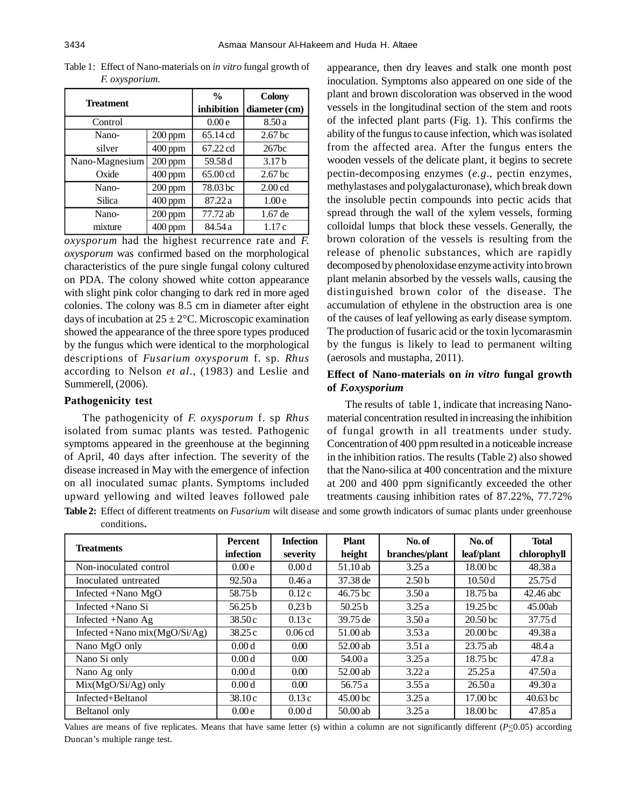| <b>Treatment</b> |           | $\frac{0}{0}$ | <b>Colony</b>      |  |
|------------------|-----------|---------------|--------------------|--|
|                  |           | inhibition    | diameter (cm)      |  |
| Control          |           | 0.00e         | 8.50a              |  |
| Nano-            | $200$ ppm | 65.14 cd      | 2.67 <sub>bc</sub> |  |
| silver           | $400$ ppm | 67.22 cd      | 267bc              |  |
| Nano-Magnesium   | 200 ppm   | 59.58 d       | 3.17 <sub>b</sub>  |  |
| Oxide            | $400$ ppm | 65.00 cd      | 2.67 <sub>bc</sub> |  |
| Nano-            | $200$ ppm | 78.03 bc      | 2.00 <sub>cd</sub> |  |
| Silica           | $400$ ppm | 87.22 a       | 1.00 <sub>e</sub>  |  |
| Nano-            | $200$ ppm | 77.72 ab      | 1.67 de            |  |
| mixture          | $400$ ppm | 84.54 a       | 1.17c              |  |

Table 1: Effect of Nano-materials on *in vitro* fungal growth of *F. oxysporium.*

*oxysporum* had the highest recurrence rate and *F. oxysporum* was confirmed based on the morphological characteristics of the pure single fungal colony cultured on PDA. The colony showed white cotton appearance with slight pink color changing to dark red in more aged colonies. The colony was 8.5 cm in diameter after eight days of incubation at  $25 \pm 2$ °C. Microscopic examination showed the appearance of the three spore types produced by the fungus which were identical to the morphological descriptions of *Fusarium oxysporum* f. sp. *Rhus* according to Nelson *et al*., (1983) and Leslie and Summerell, (2006).

#### **Pathogenicity test**

The pathogenicity of *F. oxysporum* f. sp *Rhus* isolated from sumac plants was tested. Pathogenic symptoms appeared in the greenhouse at the beginning of April, 40 days after infection. The severity of the disease increased in May with the emergence of infection on all inoculated sumac plants. Symptoms included upward yellowing and wilted leaves followed pale appearance, then dry leaves and stalk one month post inoculation. Symptoms also appeared on one side of the plant and brown discoloration was observed in the wood vessels in the longitudinal section of the stem and roots of the infected plant parts (Fig. 1). This confirms the ability of the fungus to cause infection, which was isolated from the affected area. After the fungus enters the wooden vessels of the delicate plant, it begins to secrete pectin-decomposing enzymes (*e.g*., pectin enzymes, methylastases and polygalacturonase), which break down the insoluble pectin compounds into pectic acids that spread through the wall of the xylem vessels, forming colloidal lumps that block these vessels. Generally, the brown coloration of the vessels is resulting from the release of phenolic substances, which are rapidly decomposed by phenoloxidase enzyme activity into brown plant melanin absorbed by the vessels walls, causing the distinguished brown color of the disease. The accumulation of ethylene in the obstruction area is one of the causes of leaf yellowing as early disease symptom. The production of fusaric acid or the toxin lycomarasmin by the fungus is likely to lead to permanent wilting (aerosols and mustapha, 2011).

# **Effect of Nano-materials on** *in vitro* **fungal growth of** *F.oxysporium*

The results of table 1, indicate that increasing Nanomaterial concentration resulted in increasing the inhibition of fungal growth in all treatments under study. Concentration of 400 ppm resulted in a noticeable increase in the inhibition ratios. The results (Table 2) also showed that the Nano-silica at 400 concentration and the mixture at 200 and 400 ppm significantly exceeded the other treatments causing inhibition rates of 87.22%, 77.72%

**Table 2:** Effect of different treatments on *Fusarium* wilt disease and some growth indicators of sumac plants under greenhouse conditions**.**

| <b>Treatments</b>                | <b>Percent</b>     | <b>Infection</b>  | <b>Plant</b>        | No. of            | No. of              | <b>Total</b> |
|----------------------------------|--------------------|-------------------|---------------------|-------------------|---------------------|--------------|
|                                  | infection          | severity          | height              | branches/plant    | leaf/plant          | chlorophyll  |
| Non-inoculated control           | 0.00e              | 0.00d             | 51.10 ab            | 3.25a             | 18.00 bc            | 48.38a       |
| Inoculated untreated             | 92.50a             | 0.46a             | 37.38 de            | 2.50 <sub>b</sub> | 10.50d              | 25.75d       |
| Infected +Nano MgO               | 58.75b             | 0.12c             | 46.75 bc            | 3.50a             | 18.75 ba            | 42.46 abc    |
| Infected +Nano Si                | 56.25 <sub>b</sub> | 0.23 <sub>b</sub> | 50.25 <sub>b</sub>  | 3.25a             | 19.25 <sub>bc</sub> | 45.00ab      |
| Infected $+$ Nano Ag             | 38.50c             | 0.13c             | 39.75 de            | 3.50a             | 20.50 <sub>bc</sub> | 37.75d       |
| Infected +Nano mix $(MgO/Si/Ag)$ | 38.25 c            | $0.06$ cd         | $51.00$ ab          | 3.53a             | 20.00 <sub>bc</sub> | 49.38a       |
| Nano MgO only                    | 0.00d              | 0.00              | 52.00 ab            | 3.51a             | $23.75$ ab          | 48.4 a       |
| Nano Si only                     | 0.00d              | 0.00              | 54.00 a             | 3.25a             | 18.75 bc            | 47.8a        |
| Nano Ag only                     | 0.00d              | 0.00              | $52.00$ ab          | 3.22a             | 25.25a              | 47.50a       |
| $Mix(MgO/Si/Ag)$ only            | 0.00d              | $0.00\,$          | 56.75 a             | 3.55a             | 26.50a              | 49.30a       |
| Infected+Beltanol                | 38.10c             | 0.13c             | 45.00 <sub>bc</sub> | 3.25a             | 17.00 <sub>bc</sub> | $40.63$ bc   |
| Beltanol only                    | 0.00e              | 0.00d             | 50.00ab             | 3.25a             | 18.00 <sub>bc</sub> | 47.85a       |

Values are means of five replicates. Means that have same letter (s) within a column are not significantly different  $(P \le 0.05)$  according Duncan's multiple range test.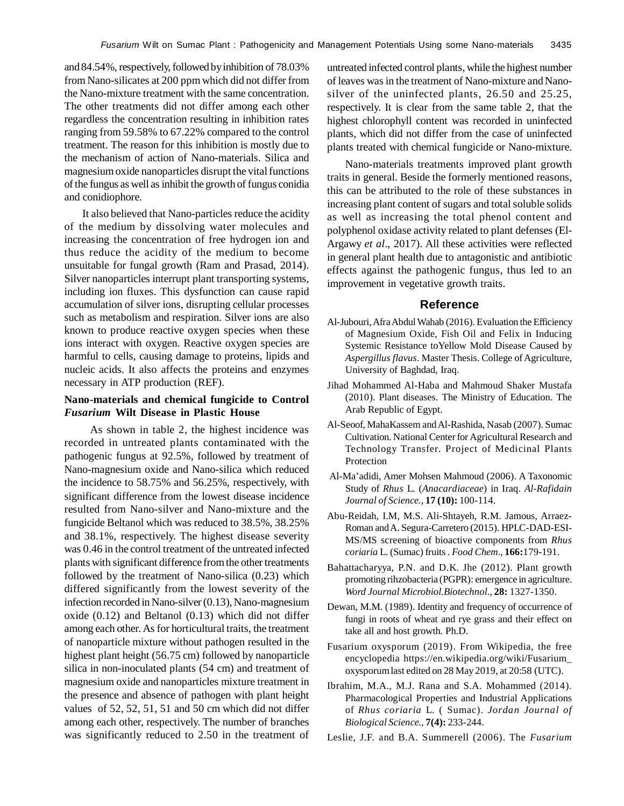and 84.54%, respectively, followed by inhibition of 78.03% from Nano-silicates at 200 ppm which did not differ from the Nano-mixture treatment with the same concentration. The other treatments did not differ among each other regardless the concentration resulting in inhibition rates ranging from 59.58% to 67.22% compared to the control treatment. The reason for this inhibition is mostly due to the mechanism of action of Nano-materials. Silica and magnesium oxide nanoparticles disrupt the vital functions of the fungus as well as inhibit the growth of fungus conidia and conidiophore.

It also believed that Nano-particles reduce the acidity of the medium by dissolving water molecules and increasing the concentration of free hydrogen ion and thus reduce the acidity of the medium to become unsuitable for fungal growth (Ram and Prasad, 2014). Silver nanoparticles interrupt plant transporting systems, including ion fluxes. This dysfunction can cause rapid accumulation of silver ions, disrupting cellular processes such as metabolism and respiration. Silver ions are also known to produce reactive oxygen species when these ions interact with oxygen. Reactive oxygen species are harmful to cells, causing damage to proteins, lipids and nucleic acids. It also affects the proteins and enzymes necessary in ATP production (REF).

## **Nano-materials and chemical fungicide to Control** *Fusarium* **Wilt Disease in Plastic House**

 As shown in table 2, the highest incidence was recorded in untreated plants contaminated with the pathogenic fungus at 92.5%, followed by treatment of Nano-magnesium oxide and Nano-silica which reduced the incidence to 58.75% and 56.25%, respectively, with significant difference from the lowest disease incidence resulted from Nano-silver and Nano-mixture and the fungicide Beltanol which was reduced to 38.5%, 38.25% and 38.1%, respectively. The highest disease severity was 0.46 in the control treatment of the untreated infected plants with significant difference from the other treatments followed by the treatment of Nano-silica (0.23) which differed significantly from the lowest severity of the infection recorded in Nano-silver (0.13), Nano-magnesium oxide (0.12) and Beltanol (0.13) which did not differ among each other. As for horticultural traits, the treatment of nanoparticle mixture without pathogen resulted in the highest plant height (56.75 cm) followed by nanoparticle silica in non-inoculated plants (54 cm) and treatment of magnesium oxide and nanoparticles mixture treatment in the presence and absence of pathogen with plant height values of 52, 52, 51, 51 and 50 cm which did not differ among each other, respectively. The number of branches was significantly reduced to 2.50 in the treatment of

untreated infected control plants, while the highest number of leaves was in the treatment of Nano-mixture and Nanosilver of the uninfected plants, 26.50 and 25.25, respectively. It is clear from the same table 2, that the highest chlorophyll content was recorded in uninfected plants, which did not differ from the case of uninfected plants treated with chemical fungicide or Nano-mixture.

Nano-materials treatments improved plant growth traits in general. Beside the formerly mentioned reasons, this can be attributed to the role of these substances in increasing plant content of sugars and total soluble solids as well as increasing the total phenol content and polyphenol oxidase activity related to plant defenses (El-Argawy *et al*., 2017). All these activities were reflected in general plant health due to antagonistic and antibiotic effects against the pathogenic fungus, thus led to an improvement in vegetative growth traits.

#### **Reference**

- Al-Jubouri, Afra Abdul Wahab (2016). Evaluation the Efficiency of Magnesium Oxide, Fish Oil and Felix in Inducing Systemic Resistance toYellow Mold Disease Caused by *Aspergillus flavus*. Master Thesis. College of Agriculture, University of Baghdad, Iraq.
- Jihad Mohammed Al-Haba and Mahmoud Shaker Mustafa (2010). Plant diseases. The Ministry of Education. The Arab Republic of Egypt.
- Al-Seoof, MahaKassem and Al-Rashida, Nasab (2007). Sumac Cultivation. National Center for Agricultural Research and Technology Transfer. Project of Medicinal Plants Protection
- Al-Ma'adidi, Amer Mohsen Mahmoud (2006). A Taxonomic Study of *Rhus* L. (*Anacardiaceae*) in Iraq. *Al-Rafidain Journal of Science.,* **17 (10):** 100-114.
- Abu-Reidah, I.M, M.S. Ali-Shtayeh, R.M. Jamous, Arraez-Roman and A. Segura-Carretero (2015). HPLC-DAD-ESI-MS/MS screening of bioactive components from *Rhus coriaria* L. (Sumac) fruits . *Food Chem*., **166:**179-191.
- Bahattacharyya, P.N. and D.K. Jhe (2012). Plant growth promoting rihzobacteria (PGPR): emergence in agriculture. *Word Journal Microbiol.Biotechnol*., **28:** 1327-1350.
- Dewan, M.M. (1989). Identity and frequency of occurrence of fungi in roots of wheat and rye grass and their effect on take all and host growth. Ph.D.
- Fusarium oxysporum (2019). From Wikipedia, the free encyclopedia https://en.wikipedia.org/wiki/Fusarium\_ oxysporum last edited on 28 May 2019, at 20:58 (UTC).
- Ibrahim, M.A., M.J. Rana and S.A. Mohammed (2014). Pharmacological Properties and Industrial Applications of *Rhus coriaria* L. ( Sumac). *Jordan Journal of Biological Science.,* **7(4):** 233-244.
- Leslie, J.F. and B.A. Summerell (2006). The *Fusarium*